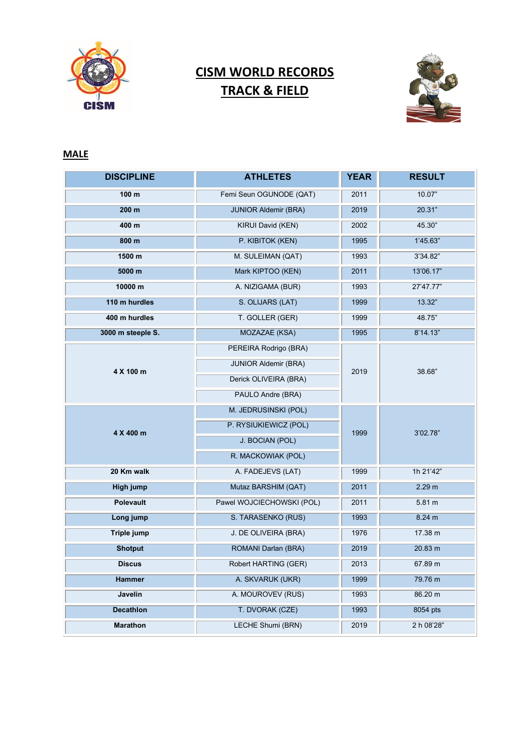

## **CISM WORLD RECORDS TRACK & FIELD**



## **MALE**

| <b>DISCIPLINE</b> | <b>ATHLETES</b>             | <b>YEAR</b> | <b>RESULT</b> |
|-------------------|-----------------------------|-------------|---------------|
| 100 m             | Femi Seun OGUNODE (QAT)     | 2011        | 10.07"        |
| 200 m             | <b>JUNIOR Aldemir (BRA)</b> | 2019        | 20.31"        |
| 400 m             | KIRUI David (KEN)           | 2002        | 45.30"        |
| 800 m             | P. KIBITOK (KEN)            | 1995        | 1'45.63"      |
| 1500 m            | M. SULEIMAN (QAT)           | 1993        | 3'34.82"      |
| 5000 m            | Mark KIPTOO (KEN)           | 2011        | 13'06.17"     |
| 10000 m           | A. NIZIGAMA (BUR)           | 1993        | 27'47.77"     |
| 110 m hurdles     | S. OLIJARS (LAT)            | 1999        | 13.32"        |
| 400 m hurdles     | T. GOLLER (GER)             | 1999        | 48.75"        |
| 3000 m steeple S. | MOZAZAE (KSA)               | 1995        | 8'14.13"      |
| 4 X 100 m         | PEREIRA Rodrigo (BRA)       | 2019        | 38.68"        |
|                   | <b>JUNIOR Aldemir (BRA)</b> |             |               |
|                   | Derick OLIVEIRA (BRA)       |             |               |
|                   | PAULO Andre (BRA)           |             |               |
| 4 X 400 m         | M. JEDRUSINSKI (POL)        | 1999        | 3'02.78"      |
|                   | P. RYSIUKIEWICZ (POL)       |             |               |
|                   | J. BOCIAN (POL)             |             |               |
|                   | R. MACKOWIAK (POL)          |             |               |
| 20 Km walk        | A. FADEJEVS (LAT)           | 1999        | 1h 21'42"     |
| High jump         | Mutaz BARSHIM (QAT)         | 2011        | 2.29 m        |
| <b>Polevault</b>  | Pawel WOJCIECHOWSKI (POL)   | 2011        | 5.81 m        |
| Long jump         | S. TARASENKO (RUS)          | 1993        | 8.24 m        |
| Triple jump       | J. DE OLIVEIRA (BRA)        | 1976        | 17.38 m       |
| <b>Shotput</b>    | ROMANI Darlan (BRA)         | 2019        | 20.83 m       |
| <b>Discus</b>     | Robert HARTING (GER)        | 2013        | 67.89 m       |
| Hammer            | A. SKVARUK (UKR)            | 1999        | 79.76 m       |
| Javelin           | A. MOUROVEV (RUS)           | 1993        | 86.20 m       |
| <b>Decathlon</b>  | T. DVORAK (CZE)             | 1993        | 8054 pts      |
| <b>Marathon</b>   | LECHE Shumi (BRN)           | 2019        | 2 h 08'28"    |